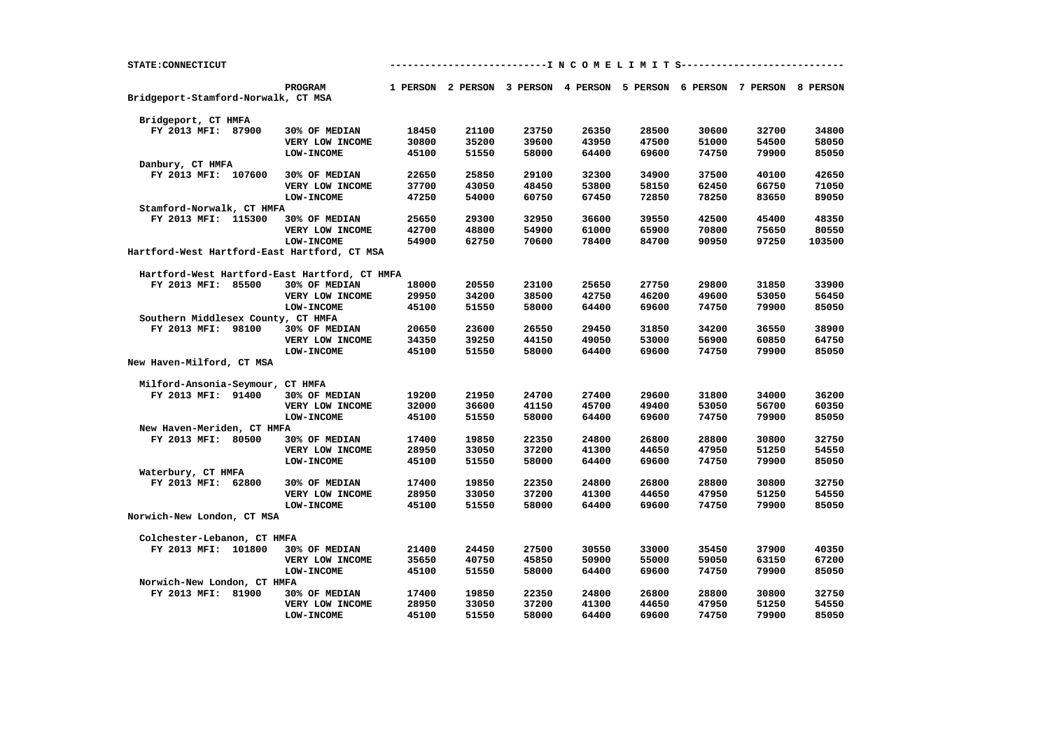| STATE: CONNECTICUT                                       |  |                                               | -------------------------I N C O M E L I M I T S------------------ |                |                |                |                |       |                                                                         |        |
|----------------------------------------------------------|--|-----------------------------------------------|--------------------------------------------------------------------|----------------|----------------|----------------|----------------|-------|-------------------------------------------------------------------------|--------|
|                                                          |  | PROGRAM                                       |                                                                    |                |                |                |                |       | 1 PERSON 2 PERSON 3 PERSON 4 PERSON 5 PERSON 6 PERSON 7 PERSON 8 PERSON |        |
| Bridgeport-Stamford-Norwalk, CT MSA                      |  |                                               |                                                                    |                |                |                |                |       |                                                                         |        |
|                                                          |  |                                               |                                                                    |                |                |                |                |       |                                                                         |        |
| Bridgeport, CT HMFA                                      |  |                                               |                                                                    |                |                |                |                |       |                                                                         |        |
| FY 2013 MFI: 87900                                       |  | 30% OF MEDIAN                                 | 18450                                                              | 21100          | 23750          | 26350          | 28500          | 30600 | 32700                                                                   | 34800  |
|                                                          |  | VERY LOW INCOME                               | 30800                                                              | 35200          | 39600          | 43950          | 47500          | 51000 | 54500                                                                   | 58050  |
|                                                          |  | LOW-INCOME                                    | 45100                                                              | 51550          | 58000          | 64400          | 69600          | 74750 | 79900                                                                   | 85050  |
| Danbury, CT HMFA                                         |  |                                               |                                                                    |                |                |                |                |       |                                                                         |        |
| FY 2013 MFI: 107600                                      |  | 30% OF MEDIAN                                 | 22650                                                              | 25850          | 29100          | 32300          | 34900          | 37500 | 40100                                                                   | 42650  |
|                                                          |  | VERY LOW INCOME                               | 37700                                                              | 43050          | 48450          | 53800          | 58150          | 62450 | 66750                                                                   | 71050  |
|                                                          |  | <b>LOW-INCOME</b>                             | 47250                                                              | 54000          | 60750          | 67450          | 72850          | 78250 | 83650                                                                   | 89050  |
| Stamford-Norwalk, CT HMFA                                |  |                                               |                                                                    |                |                |                |                |       |                                                                         |        |
| FY 2013 MFI: 115300                                      |  | 30% OF MEDIAN                                 | 25650                                                              | 29300          | 32950          | 36600          | 39550          | 42500 | 45400                                                                   | 48350  |
|                                                          |  | VERY LOW INCOME                               | 42700                                                              | 48800          | 54900          | 61000          | 65900          | 70800 | 75650                                                                   | 80550  |
|                                                          |  | LOW-INCOME                                    | 54900                                                              | 62750          | 70600          | 78400          | 84700          | 90950 | 97250                                                                   | 103500 |
|                                                          |  | Hartford-West Hartford-East Hartford, CT MSA  |                                                                    |                |                |                |                |       |                                                                         |        |
|                                                          |  |                                               |                                                                    |                |                |                |                |       |                                                                         |        |
|                                                          |  | Hartford-West Hartford-East Hartford, CT HMFA |                                                                    |                |                |                |                |       |                                                                         |        |
| FY 2013 MFI: 85500                                       |  | 30% OF MEDIAN                                 | 18000                                                              | 20550          | 23100          | 25650          | 27750          | 29800 | 31850                                                                   | 33900  |
|                                                          |  | VERY LOW INCOME                               | 29950                                                              | 34200          | 38500          | 42750          | 46200          | 49600 | 53050                                                                   | 56450  |
|                                                          |  | LOW-INCOME                                    | 45100                                                              | 51550          | 58000          | 64400          | 69600          | 74750 | 79900                                                                   | 85050  |
| Southern Middlesex County, CT HMFA<br>FY 2013 MFI: 98100 |  |                                               |                                                                    |                |                |                |                | 34200 |                                                                         | 38900  |
|                                                          |  | 30% OF MEDIAN                                 | 20650<br>34350                                                     | 23600<br>39250 | 26550<br>44150 | 29450<br>49050 | 31850<br>53000 | 56900 | 36550<br>60850                                                          | 64750  |
|                                                          |  | VERY LOW INCOME<br>LOW-INCOME                 | 45100                                                              | 51550          | 58000          | 64400          | 69600          | 74750 | 79900                                                                   | 85050  |
| New Haven-Milford, CT MSA                                |  |                                               |                                                                    |                |                |                |                |       |                                                                         |        |
|                                                          |  |                                               |                                                                    |                |                |                |                |       |                                                                         |        |
| Milford-Ansonia-Seymour, CT HMFA                         |  |                                               |                                                                    |                |                |                |                |       |                                                                         |        |
| FY 2013 MFI: 91400                                       |  | 30% OF MEDIAN                                 | 19200                                                              | 21950          | 24700          | 27400          | 29600          | 31800 | 34000                                                                   | 36200  |
|                                                          |  | VERY LOW INCOME                               | 32000                                                              | 36600          | 41150          | 45700          | 49400          | 53050 | 56700                                                                   | 60350  |
|                                                          |  | <b>LOW-INCOME</b>                             | 45100                                                              | 51550          | 58000          | 64400          | 69600          | 74750 | 79900                                                                   | 85050  |
| New Haven-Meriden, CT HMFA                               |  |                                               |                                                                    |                |                |                |                |       |                                                                         |        |
| FY 2013 MFI: 80500                                       |  | 30% OF MEDIAN                                 | 17400                                                              | 19850          | 22350          | 24800          | 26800          | 28800 | 30800                                                                   | 32750  |
|                                                          |  | VERY LOW INCOME                               | 28950                                                              | 33050          | 37200          | 41300          | 44650          | 47950 | 51250                                                                   | 54550  |
|                                                          |  | <b>LOW-INCOME</b>                             | 45100                                                              | 51550          | 58000          | 64400          | 69600          | 74750 | 79900                                                                   | 85050  |
| Waterbury, CT HMFA                                       |  |                                               |                                                                    |                |                |                |                |       |                                                                         |        |
| FY 2013 MFI: 62800                                       |  | 30% OF MEDIAN                                 | 17400                                                              | 19850          | 22350          | 24800          | 26800          | 28800 | 30800                                                                   | 32750  |
|                                                          |  | VERY LOW INCOME                               | 28950                                                              | 33050          | 37200          | 41300          | 44650          | 47950 | 51250                                                                   | 54550  |
|                                                          |  | <b>LOW-INCOME</b>                             | 45100                                                              | 51550          | 58000          | 64400          | 69600          | 74750 | 79900                                                                   | 85050  |
| Norwich-New London, CT MSA                               |  |                                               |                                                                    |                |                |                |                |       |                                                                         |        |
|                                                          |  |                                               |                                                                    |                |                |                |                |       |                                                                         |        |
| Colchester-Lebanon, CT HMFA                              |  |                                               |                                                                    |                |                |                |                |       |                                                                         |        |
| FY 2013 MFI: 101800                                      |  | 30% OF MEDIAN                                 | 21400                                                              | 24450          | 27500          | 30550          | 33000          | 35450 | 37900                                                                   | 40350  |
|                                                          |  | VERY LOW INCOME                               | 35650                                                              | 40750          | 45850          | 50900          | 55000          | 59050 | 63150                                                                   | 67200  |
|                                                          |  | <b>LOW-INCOME</b>                             | 45100                                                              | 51550          | 58000          | 64400          | 69600          | 74750 | 79900                                                                   | 85050  |
| Norwich-New London, CT HMFA                              |  |                                               |                                                                    |                |                |                |                |       |                                                                         |        |
| FY 2013 MFI: 81900                                       |  | 30% OF MEDIAN                                 | 17400                                                              | 19850          | 22350          | 24800          | 26800          | 28800 | 30800                                                                   | 32750  |
|                                                          |  | VERY LOW INCOME                               | 28950                                                              | 33050          | 37200          | 41300          | 44650          | 47950 | 51250                                                                   | 54550  |
|                                                          |  | <b>LOW-INCOME</b>                             | 45100                                                              | 51550          | 58000          | 64400          | 69600          | 74750 | 79900                                                                   | 85050  |